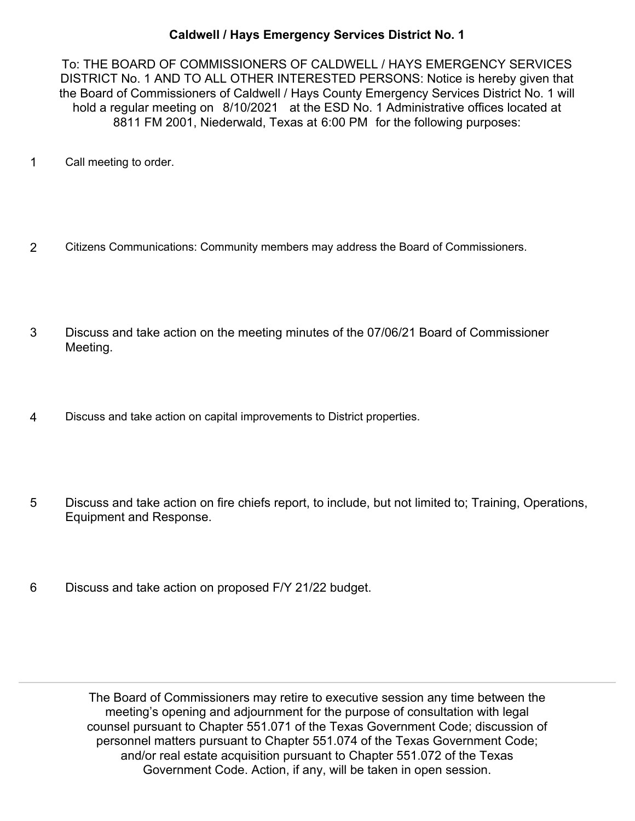## **Caldwell / Hays Emergency Services District No. 1**

To: THE BOARD OF COMMISSIONERS OF CALDWELL / HAYS EMERGENCY SERVICES DISTRICT No. 1 AND TO ALL OTHER INTERESTED PERSONS: Notice is hereby given that the Board of Commissioners of Caldwell / Hays County Emergency Services District No. 1 will hold a regular meeting on 8/10/2021 at the ESD No. 1 Administrative offices located at 8811 FM 2001, Niederwald, Texas at 6:00 PM for the following purposes:

- 1 Call meeting to order.
- 2 Citizens Communications: Community members may address the Board of Commissioners.
- Discuss and take action on the meeting minutes of the 07/06/21 Board of Commissioner Meeting. 3
- 4 Discuss and take action on capital improvements to District properties.
- Discuss and take action on fire chiefs report, to include, but not limited to; Training, Operations, Equipment and Response. 5
- 6 Discuss and take action on proposed F/Y 21/22 budget.

The Board of Commissioners may retire to executive session any time between the meeting's opening and adjournment for the purpose of consultation with legal counsel pursuant to Chapter 551.071 of the Texas Government Code; discussion of personnel matters pursuant to Chapter 551.074 of the Texas Government Code; and/or real estate acquisition pursuant to Chapter 551.072 of the Texas Government Code. Action, if any, will be taken in open session.